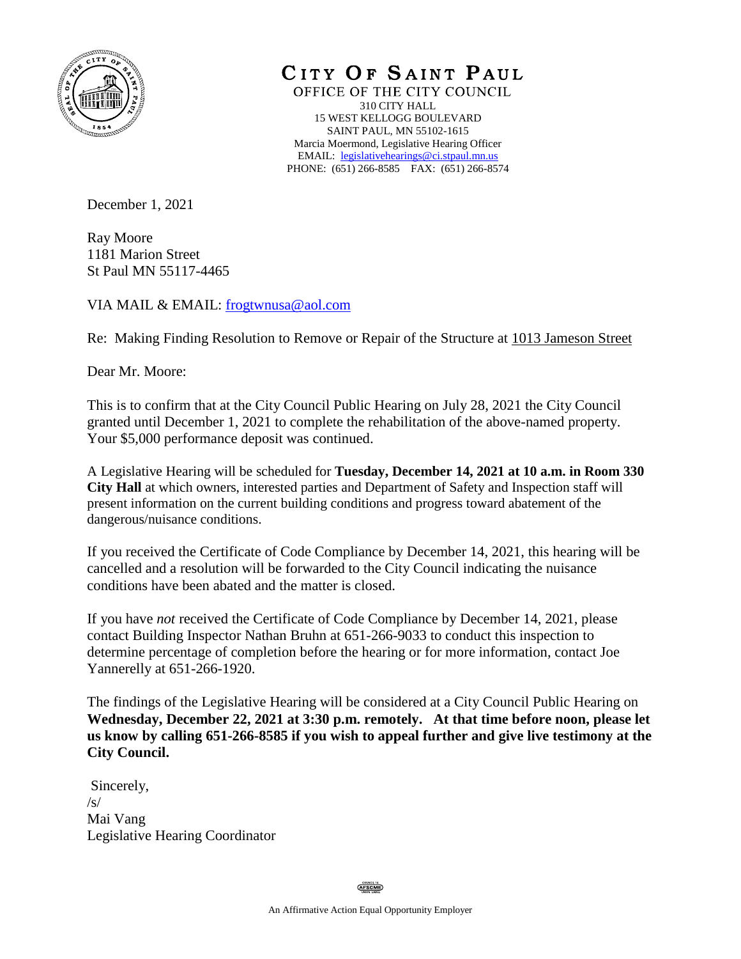

CITY OF SAINT PAUL

OFFICE OF THE CITY COUNCIL 310 CITY HALL 15 WEST KELLOGG BOULEVARD SAINT PAUL, MN 55102-1615 Marcia Moermond, Legislative Hearing Officer EMAIL: [legislativehearings@ci.stpaul.mn.us](mailto:legislativehearings@ci.stpaul.mn.us) PHONE: (651) 266-8585 FAX: (651) 266-8574

December 1, 2021

Ray Moore 1181 Marion Street St Paul MN 55117-4465

VIA MAIL & EMAIL: [frogtwnusa@aol.com](mailto:frogtwnusa@aol.com)

Re: Making Finding Resolution to Remove or Repair of the Structure at 1013 Jameson Street

Dear Mr. Moore:

This is to confirm that at the City Council Public Hearing on July 28, 2021 the City Council granted until December 1, 2021 to complete the rehabilitation of the above-named property. Your \$5,000 performance deposit was continued.

A Legislative Hearing will be scheduled for **Tuesday, December 14, 2021 at 10 a.m. in Room 330 City Hall** at which owners, interested parties and Department of Safety and Inspection staff will present information on the current building conditions and progress toward abatement of the dangerous/nuisance conditions.

If you received the Certificate of Code Compliance by December 14, 2021, this hearing will be cancelled and a resolution will be forwarded to the City Council indicating the nuisance conditions have been abated and the matter is closed.

If you have *not* received the Certificate of Code Compliance by December 14, 2021, please contact Building Inspector Nathan Bruhn at 651-266-9033 to conduct this inspection to determine percentage of completion before the hearing or for more information, contact Joe Yannerelly at 651-266-1920.

The findings of the Legislative Hearing will be considered at a City Council Public Hearing on **Wednesday, December 22, 2021 at 3:30 p.m. remotely. At that time before noon, please let us know by calling 651-266-8585 if you wish to appeal further and give live testimony at the City Council.** 

Sincerely,  $\sqrt{s}$ Mai Vang Legislative Hearing Coordinator